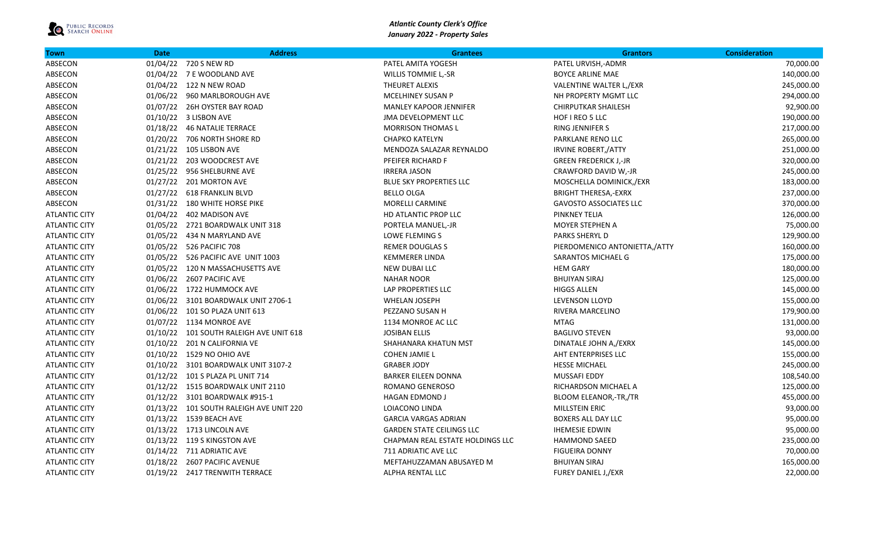

| <b>Town</b>          | <b>Date</b> | <b>Address</b>                          | <b>Grantees</b>                  | <b>Grantors</b>               | <b>Consideration</b> |
|----------------------|-------------|-----------------------------------------|----------------------------------|-------------------------------|----------------------|
| ABSECON              |             | 01/04/22 720 S NEW RD                   | PATEL AMITA YOGESH               | PATEL URVISH,-ADMR            | 70,000.00            |
| ABSECON              |             | 01/04/22 7 E WOODLAND AVE               | <b>WILLIS TOMMIE L,-SR</b>       | <b>BOYCE ARLINE MAE</b>       | 140,000.00           |
| ABSECON              |             | 01/04/22 122 N NEW ROAD                 | THEURET ALEXIS                   | VALENTINE WALTER L,/EXR       | 245,000.00           |
| ABSECON              |             | 01/06/22 960 MARLBOROUGH AVE            | MCELHINEY SUSAN P                | NH PROPERTY MGMT LLC          | 294,000.00           |
| ABSECON              |             | 01/07/22 26H OYSTER BAY ROAD            | <b>MANLEY KAPOOR JENNIFER</b>    | <b>CHIRPUTKAR SHAILESH</b>    | 92,900.00            |
| ABSECON              |             | 01/10/22 3 LISBON AVE                   | <b>JMA DEVELOPMENT LLC</b>       | HOF I REO 5 LLC               | 190,000.00           |
| ABSECON              |             | 01/18/22 46 NATALIE TERRACE             | <b>MORRISON THOMAS L</b>         | RING JENNIFER S               | 217,000.00           |
| ABSECON              |             | 01/20/22 706 NORTH SHORE RD             | <b>CHAPKO KATELYN</b>            | PARKLANE RENO LLC             | 265,000.00           |
| ABSECON              |             | 01/21/22 105 LISBON AVE                 | MENDOZA SALAZAR REYNALDO         | <b>IRVINE ROBERT,/ATTY</b>    | 251,000.00           |
| ABSECON              |             | 01/21/22 203 WOODCREST AVE              | PFEIFER RICHARD F                | <b>GREEN FREDERICK J,-JR</b>  | 320,000.00           |
| ABSECON              |             | 01/25/22 956 SHELBURNE AVE              | <b>IRRERA JASON</b>              | CRAWFORD DAVID W,-JR          | 245,000.00           |
| ABSECON              |             | 01/27/22 201 MORTON AVE                 | BLUE SKY PROPERTIES LLC          | MOSCHELLA DOMINICK,/EXR       | 183,000.00           |
| ABSECON              |             | 01/27/22 618 FRANKLIN BLVD              | <b>BELLO OLGA</b>                | <b>BRIGHT THERESA,-EXRX</b>   | 237,000.00           |
| ABSECON              |             | 01/31/22 180 WHITE HORSE PIKE           | MORELLI CARMINE                  | <b>GAVOSTO ASSOCIATES LLC</b> | 370,000.00           |
| <b>ATLANTIC CITY</b> |             | 01/04/22  402 MADISON AVE               | HD ATLANTIC PROP LLC             | PINKNEY TELIA                 | 126,000.00           |
| <b>ATLANTIC CITY</b> |             | 01/05/22 2721 BOARDWALK UNIT 318        | PORTELA MANUEL,-JR               | MOYER STEPHEN A               | 75,000.00            |
| <b>ATLANTIC CITY</b> |             | 01/05/22 434 N MARYLAND AVE             | <b>LOWE FLEMING S</b>            | PARKS SHERYL D                | 129,900.00           |
| <b>ATLANTIC CITY</b> |             | 01/05/22 526 PACIFIC 708                | <b>REMER DOUGLAS S</b>           | PIERDOMENICO ANTONIETTA,/ATTY | 160,000.00           |
| <b>ATLANTIC CITY</b> |             | 01/05/22 526 PACIFIC AVE UNIT 1003      | <b>KEMMERER LINDA</b>            | SARANTOS MICHAEL G            | 175,000.00           |
| <b>ATLANTIC CITY</b> |             | 01/05/22 120 N MASSACHUSETTS AVE        | <b>NEW DUBAI LLC</b>             | <b>HEM GARY</b>               | 180,000.00           |
| <b>ATLANTIC CITY</b> |             | 01/06/22 2607 PACIFIC AVE               | <b>NAHAR NOOR</b>                | <b>BHUIYAN SIRAJ</b>          | 125,000.00           |
| <b>ATLANTIC CITY</b> |             | 01/06/22 1722 HUMMOCK AVE               | LAP PROPERTIES LLC               | <b>HIGGS ALLEN</b>            | 145,000.00           |
| <b>ATLANTIC CITY</b> |             | 01/06/22 3101 BOARDWALK UNIT 2706-1     | WHELAN JOSEPH                    | LEVENSON LLOYD                | 155,000.00           |
| <b>ATLANTIC CITY</b> |             | 01/06/22 101 SO PLAZA UNIT 613          | PEZZANO SUSAN H                  | RIVERA MARCELINO              | 179,900.00           |
| <b>ATLANTIC CITY</b> |             | 01/07/22 1134 MONROE AVE                | 1134 MONROE AC LLC               | <b>MTAG</b>                   | 131,000.00           |
| <b>ATLANTIC CITY</b> |             | 01/10/22 101 SOUTH RALEIGH AVE UNIT 618 | <b>JOSIBAN ELLIS</b>             | <b>BAGLIVO STEVEN</b>         | 93,000.00            |
| <b>ATLANTIC CITY</b> |             | 01/10/22 201 N CALIFORNIA VE            | SHAHANARA KHATUN MST             | DINATALE JOHN A,/EXRX         | 145,000.00           |
| <b>ATLANTIC CITY</b> |             | 01/10/22 1529 NO OHIO AVE               | <b>COHEN JAMIE L</b>             | AHT ENTERPRISES LLC           | 155,000.00           |
| <b>ATLANTIC CITY</b> |             | 01/10/22 3101 BOARDWALK UNIT 3107-2     | <b>GRABER JODY</b>               | <b>HESSE MICHAEL</b>          | 245,000.00           |
| <b>ATLANTIC CITY</b> |             | 01/12/22 101 S PLAZA PL UNIT 714        | <b>BARKER EILEEN DONNA</b>       | MUSSAFI EDDY                  | 108,540.00           |
| <b>ATLANTIC CITY</b> |             | 01/12/22 1515 BOARDWALK UNIT 2110       | ROMANO GENEROSO                  | RICHARDSON MICHAEL A          | 125,000.00           |
| <b>ATLANTIC CITY</b> |             | 01/12/22 3101 BOARDWALK #915-1          | <b>HAGAN EDMOND J</b>            | <b>BLOOM ELEANOR,-TR,/TR</b>  | 455,000.00           |
| <b>ATLANTIC CITY</b> |             | 01/13/22 101 SOUTH RALEIGH AVE UNIT 220 | LOIACONO LINDA                   | MILLSTEIN ERIC                | 93,000.00            |
| <b>ATLANTIC CITY</b> |             | 01/13/22 1539 BEACH AVE                 | <b>GARCIA VARGAS ADRIAN</b>      | BOXERS ALL DAY LLC            | 95,000.00            |
| <b>ATLANTIC CITY</b> |             | 01/13/22 1713 LINCOLN AVE               | <b>GARDEN STATE CEILINGS LLC</b> | <b>IHEMESIE EDWIN</b>         | 95,000.00            |
| <b>ATLANTIC CITY</b> |             | 01/13/22 119 S KINGSTON AVE             | CHAPMAN REAL ESTATE HOLDINGS LLC | <b>HAMMOND SAEED</b>          | 235,000.00           |
| <b>ATLANTIC CITY</b> |             | 01/14/22 711 ADRIATIC AVE               | 711 ADRIATIC AVE LLC             | <b>FIGUEIRA DONNY</b>         | 70,000.00            |
| <b>ATLANTIC CITY</b> |             | 01/18/22 2607 PACIFIC AVENUE            | MEFTAHUZZAMAN ABUSAYED M         | <b>BHUIYAN SIRAJ</b>          | 165,000.00           |
| <b>ATLANTIC CITY</b> |             | 01/19/22 2417 TRENWITH TERRACE          | <b>ALPHA RENTAL LLC</b>          | <b>FUREY DANIEL J,/EXR</b>    | 22,000.00            |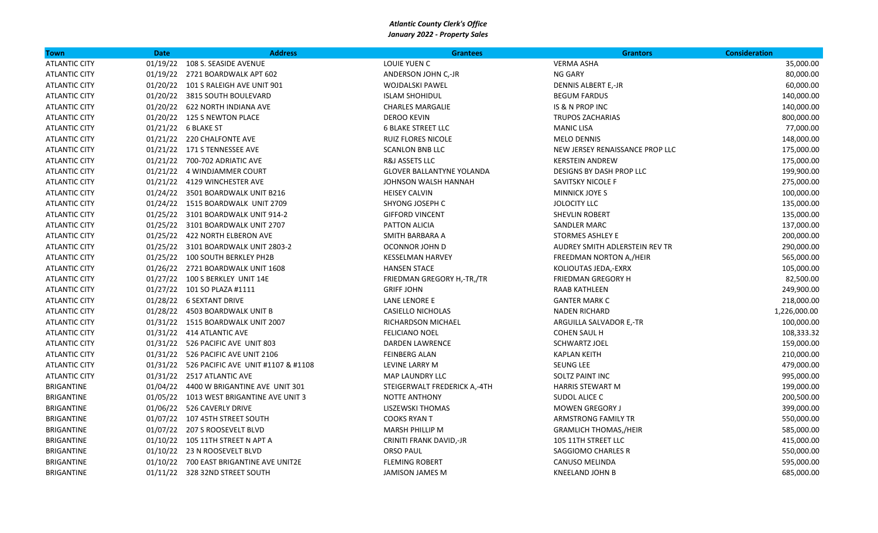| Town                 | <b>Date</b> | <b>Address</b>                              | <b>Grantees</b>                  | <b>Grantors</b>                 | <b>Consideration</b> |
|----------------------|-------------|---------------------------------------------|----------------------------------|---------------------------------|----------------------|
| <b>ATLANTIC CITY</b> | 01/19/22    | 108 S. SEASIDE AVENUE                       | LOUIE YUEN C                     | <b>VERMA ASHA</b>               | 35,000.00            |
| <b>ATLANTIC CITY</b> |             | 01/19/22 2721 BOARDWALK APT 602             | ANDERSON JOHN C,-JR              | NG GARY                         | 80,000.00            |
| <b>ATLANTIC CITY</b> |             | 01/20/22 101 S RALEIGH AVE UNIT 901         | <b>WOJDALSKI PAWEL</b>           | <b>DENNIS ALBERT E,-JR</b>      | 60,000.00            |
| <b>ATLANTIC CITY</b> |             | 01/20/22 3815 SOUTH BOULEVARD               | <b>ISLAM SHOHIDUL</b>            | <b>BEGUM FARDUS</b>             | 140,000.00           |
| <b>ATLANTIC CITY</b> |             | 01/20/22 622 NORTH INDIANA AVE              | <b>CHARLES MARGALIE</b>          | IS & N PROP INC                 | 140,000.00           |
| <b>ATLANTIC CITY</b> |             | 01/20/22 125 S NEWTON PLACE                 | <b>DEROO KEVIN</b>               | <b>TRUPOS ZACHARIAS</b>         | 800,000.00           |
| <b>ATLANTIC CITY</b> |             | 01/21/22 6 BLAKE ST                         | <b>6 BLAKE STREET LLC</b>        | <b>MANIC LISA</b>               | 77,000.00            |
| <b>ATLANTIC CITY</b> |             | 01/21/22 220 CHALFONTE AVE                  | <b>RUIZ FLORES NICOLE</b>        | <b>MELO DENNIS</b>              | 148,000.00           |
| <b>ATLANTIC CITY</b> |             | 01/21/22 171 S TENNESSEE AVE                | <b>SCANLON BNB LLC</b>           | NEW JERSEY RENAISSANCE PROP LLC | 175,000.00           |
| <b>ATLANTIC CITY</b> |             | 01/21/22 700-702 ADRIATIC AVE               | R&J ASSETS LLC                   | <b>KERSTEIN ANDREW</b>          | 175,000.00           |
| <b>ATLANTIC CITY</b> |             | 01/21/22 4 WINDJAMMER COURT                 | <b>GLOVER BALLANTYNE YOLANDA</b> | DESIGNS BY DASH PROP LLC        | 199,900.00           |
| <b>ATLANTIC CITY</b> |             | 01/21/22 4129 WINCHESTER AVE                | JOHNSON WALSH HANNAH             | SAVITSKY NICOLE F               | 275,000.00           |
| <b>ATLANTIC CITY</b> |             | 01/24/22 3501 BOARDWALK UNIT B216           | <b>HEISEY CALVIN</b>             | <b>MINNICK JOYE S</b>           | 100,000.00           |
| <b>ATLANTIC CITY</b> |             | 01/24/22 1515 BOARDWALK UNIT 2709           | SHYONG JOSEPH C                  | <b>JOLOCITY LLC</b>             | 135,000.00           |
| <b>ATLANTIC CITY</b> |             | 01/25/22 3101 BOARDWALK UNIT 914-2          | <b>GIFFORD VINCENT</b>           | <b>SHEVLIN ROBERT</b>           | 135,000.00           |
| <b>ATLANTIC CITY</b> |             | 01/25/22 3101 BOARDWALK UNIT 2707           | PATTON ALICIA                    | <b>SANDLER MARC</b>             | 137,000.00           |
| <b>ATLANTIC CITY</b> |             | 01/25/22 422 NORTH ELBERON AVE              | SMITH BARBARA A                  | <b>STORMES ASHLEY E</b>         | 200,000.00           |
| <b>ATLANTIC CITY</b> |             | 01/25/22 3101 BOARDWALK UNIT 2803-2         | OCONNOR JOHN D                   | AUDREY SMITH ADLERSTEIN REV TR  | 290,000.00           |
| <b>ATLANTIC CITY</b> |             | 01/25/22 100 SOUTH BERKLEY PH2B             | <b>KESSELMAN HARVEY</b>          | FREEDMAN NORTON A,/HEIR         | 565,000.00           |
| <b>ATLANTIC CITY</b> |             | 01/26/22 2721 BOARDWALK UNIT 1608           | <b>HANSEN STACE</b>              | KOLIOUTAS JEDA,-EXRX            | 105,000.00           |
| <b>ATLANTIC CITY</b> |             | 01/27/22 100 S BERKLEY UNIT 14E             | FRIEDMAN GREGORY H,-TR,/TR       | <b>FRIEDMAN GREGORY H</b>       | 82,500.00            |
| <b>ATLANTIC CITY</b> |             | 01/27/22 101 SO PLAZA #1111                 | <b>GRIFF JOHN</b>                | RAAB KATHLEEN                   | 249,900.00           |
| <b>ATLANTIC CITY</b> |             | 01/28/22 6 SEXTANT DRIVE                    | LANE LENORE E                    | <b>GANTER MARK C</b>            | 218,000.00           |
| <b>ATLANTIC CITY</b> |             | 01/28/22 4503 BOARDWALK UNIT B              | <b>CASIELLO NICHOLAS</b>         | <b>NADEN RICHARD</b>            | 1,226,000.00         |
| <b>ATLANTIC CITY</b> |             | 01/31/22 1515 BOARDWALK UNIT 2007           | RICHARDSON MICHAEL               | ARGUILLA SALVADOR E,-TR         | 100,000.00           |
| <b>ATLANTIC CITY</b> |             | 01/31/22 414 ATLANTIC AVE                   | <b>FELICIANO NOEL</b>            | <b>COHEN SAUL H</b>             | 108,333.32           |
| <b>ATLANTIC CITY</b> |             | 01/31/22 526 PACIFIC AVE UNIT 803           | <b>DARDEN LAWRENCE</b>           | <b>SCHWARTZ JOEL</b>            | 159,000.00           |
| <b>ATLANTIC CITY</b> |             | 01/31/22 526 PACIFIC AVE UNIT 2106          | <b>FEINBERG ALAN</b>             | <b>KAPLAN KEITH</b>             | 210,000.00           |
| <b>ATLANTIC CITY</b> |             | 01/31/22 526 PACIFIC AVE UNIT #1107 & #1108 | LEVINE LARRY M                   | <b>SEUNG LEE</b>                | 479,000.00           |
| <b>ATLANTIC CITY</b> |             | 01/31/22 2517 ATLANTIC AVE                  | MAP LAUNDRY LLC                  | SOLTZ PAINT INC                 | 995,000.00           |
| BRIGANTINE           |             | 01/04/22  4400 W BRIGANTINE AVE UNIT 301    | STEIGERWALT FREDERICK A,-4TH     | HARRIS STEWART M                | 199,000.00           |
| BRIGANTINE           |             | 01/05/22 1013 WEST BRIGANTINE AVE UNIT 3    | <b>NOTTE ANTHONY</b>             | SUDOL ALICE C                   | 200,500.00           |
| BRIGANTINE           |             | 01/06/22 526 CAVERLY DRIVE                  | LISZEWSKI THOMAS                 | <b>MOWEN GREGORY J</b>          | 399,000.00           |
| BRIGANTINE           |             | 01/07/22 107 45TH STREET SOUTH              | <b>COOKS RYAN T</b>              | <b>ARMSTRONG FAMILY TR</b>      | 550,000.00           |
| BRIGANTINE           |             | 01/07/22 207 S ROOSEVELT BLVD               | <b>MARSH PHILLIP M</b>           | <b>GRAMLICH THOMAS,/HEIR</b>    | 585,000.00           |
| BRIGANTINE           |             | 01/10/22 105 11TH STREET N APT A            | CRINITI FRANK DAVID,-JR          | 105 11TH STREET LLC             | 415,000.00           |
| BRIGANTINE           |             | 01/10/22 23 N ROOSEVELT BLVD                | <b>ORSO PAUL</b>                 | <b>SAGGIOMO CHARLES R</b>       | 550,000.00           |
| BRIGANTINE           |             | 01/10/22 700 EAST BRIGANTINE AVE UNIT2E     | <b>FLEMING ROBERT</b>            | CANUSO MELINDA                  | 595,000.00           |
| <b>BRIGANTINE</b>    |             | 01/11/22 328 32ND STREET SOUTH              | <b>JAMISON JAMES M</b>           | KNEELAND JOHN B                 | 685,000.00           |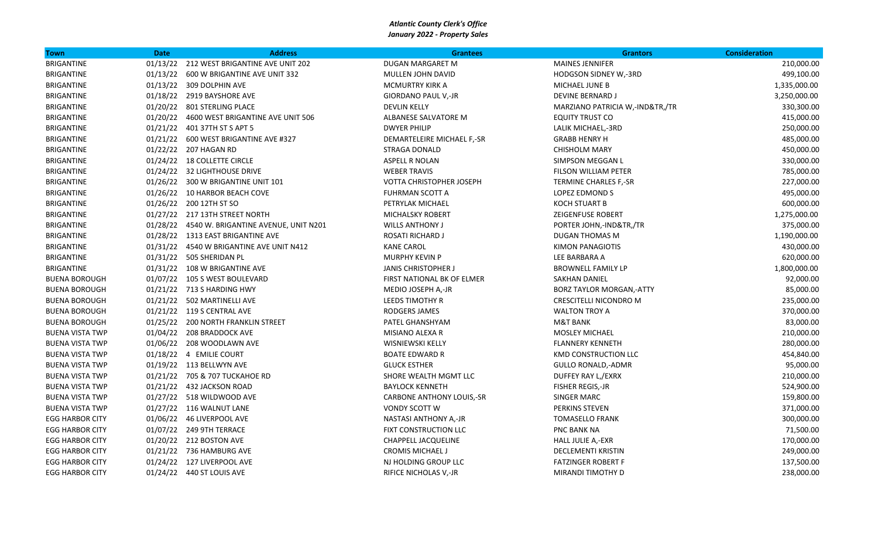| Town                   | <b>Date</b> | <b>Address</b>                                | <b>Grantees</b>                  | <b>Grantors</b>                 | <b>Consideration</b> |
|------------------------|-------------|-----------------------------------------------|----------------------------------|---------------------------------|----------------------|
| <b>BRIGANTINE</b>      |             | 01/13/22 212 WEST BRIGANTINE AVE UNIT 202     | DUGAN MARGARET M                 | <b>MAINES JENNIFER</b>          | 210,000.00           |
| <b>BRIGANTINE</b>      |             | 01/13/22   600 W BRIGANTINE AVE UNIT 332      | MULLEN JOHN DAVID                | HODGSON SIDNEY W,-3RD           | 499,100.00           |
| <b>BRIGANTINE</b>      |             | 01/13/22 309 DOLPHIN AVE                      | <b>MCMURTRY KIRK A</b>           | MICHAEL JUNE B                  | 1,335,000.00         |
| BRIGANTINE             |             | 01/18/22 2919 BAYSHORE AVE                    | GIORDANO PAUL V,-JR              | <b>DEVINE BERNARD J</b>         | 3,250,000.00         |
| BRIGANTINE             |             | 01/20/22 801 STERLING PLACE                   | <b>DEVLIN KELLY</b>              | MARZIANO PATRICIA W,-IND&TR,/TR | 330,300.00           |
| BRIGANTINE             |             | 01/20/22 4600 WEST BRIGANTINE AVE UNIT 506    | ALBANESE SALVATORE M             | EQUITY TRUST CO                 | 415,000.00           |
| BRIGANTINE             |             | 01/21/22 401 37TH ST S APT 5                  | <b>DWYER PHILIP</b>              | LALIK MICHAEL,-3RD              | 250,000.00           |
| BRIGANTINE             |             | 01/21/22    600 WEST BRIGANTINE AVE #327      | DEMARTELEIRE MICHAEL F,-SR       | <b>GRABB HENRY H</b>            | 485,000.00           |
| BRIGANTINE             |             | 01/22/22 207 HAGAN RD                         | <b>STRAGA DONALD</b>             | <b>CHISHOLM MARY</b>            | 450,000.00           |
| BRIGANTINE             |             | 01/24/22 18 COLLETTE CIRCLE                   | <b>ASPELL R NOLAN</b>            | SIMPSON MEGGAN L                | 330,000.00           |
| BRIGANTINE             |             | 01/24/22 32 LIGHTHOUSE DRIVE                  | <b>WEBER TRAVIS</b>              | FILSON WILLIAM PETER            | 785,000.00           |
| BRIGANTINE             |             | 01/26/22 300 W BRIGANTINE UNIT 101            | VOTTA CHRISTOPHER JOSEPH         | TERMINE CHARLES F,-SR           | 227,000.00           |
| BRIGANTINE             |             | 01/26/22 10 HARBOR BEACH COVE                 | <b>FUHRMAN SCOTT A</b>           | LOPEZ EDMOND S                  | 495,000.00           |
| BRIGANTINE             |             | 01/26/22 200 12TH ST SO                       | PETRYLAK MICHAEL                 | KOCH STUART B                   | 600,000.00           |
| BRIGANTINE             |             | 01/27/22 217 13TH STREET NORTH                | MICHALSKY ROBERT                 | ZEIGENFUSE ROBERT               | 1,275,000.00         |
| <b>BRIGANTINE</b>      |             | 01/28/22 4540 W. BRIGANTINE AVENUE, UNIT N201 | <b>WILLS ANTHONY J</b>           | PORTER JOHN,-IND&TR,/TR         | 375,000.00           |
| <b>BRIGANTINE</b>      |             | 01/28/22 1313 EAST BRIGANTINE AVE             | ROSATI RICHARD J                 | <b>DUGAN THOMAS M</b>           | 1,190,000.00         |
| BRIGANTINE             |             | 01/31/22 4540 W BRIGANTINE AVE UNIT N412      | <b>KANE CAROL</b>                | KIMON PANAGIOTIS                | 430,000.00           |
| BRIGANTINE             |             | 01/31/22 505 SHERIDAN PL                      | <b>MURPHY KEVIN P</b>            | LEE BARBARA A                   | 620,000.00           |
| <b>BRIGANTINE</b>      |             | 01/31/22 108 W BRIGANTINE AVE                 | <b>JANIS CHRISTOPHER J</b>       | <b>BROWNELL FAMILY LP</b>       | 1,800,000.00         |
| <b>BUENA BOROUGH</b>   |             | 01/07/22 105 S WEST BOULEVARD                 | FIRST NATIONAL BK OF ELMER       | <b>SAKHAN DANIEL</b>            | 92,000.00            |
| <b>BUENA BOROUGH</b>   |             | 01/21/22 713 S HARDING HWY                    | MEDIO JOSEPH A,-JR               | BORZ TAYLOR MORGAN,-ATTY        | 85,000.00            |
| <b>BUENA BOROUGH</b>   |             | 01/21/22 502 MARTINELLI AVE                   | LEEDS TIMOTHY R                  | <b>CRESCITELLI NICONDRO M</b>   | 235,000.00           |
| <b>BUENA BOROUGH</b>   |             | 01/21/22 119 S CENTRAL AVE                    | RODGERS JAMES                    | <b>WALTON TROY A</b>            | 370,000.00           |
| <b>BUENA BOROUGH</b>   |             | 01/25/22 200 NORTH FRANKLIN STREET            | PATEL GHANSHYAM                  | <b>M&amp;T BANK</b>             | 83,000.00            |
| <b>BUENA VISTA TWP</b> |             | 01/04/22 208 BRADDOCK AVE                     | MISIANO ALEXA R                  | <b>MOSLEY MICHAEL</b>           | 210,000.00           |
| <b>BUENA VISTA TWP</b> |             | 01/06/22 208 WOODLAWN AVE                     | WISNIEWSKI KELLY                 | <b>FLANNERY KENNETH</b>         | 280,000.00           |
| <b>BUENA VISTA TWP</b> |             | 01/18/22 4 EMILIE COURT                       | <b>BOATE EDWARD R</b>            | <b>KMD CONSTRUCTION LLC</b>     | 454,840.00           |
| <b>BUENA VISTA TWP</b> |             | 01/19/22 113 BELLWYN AVE                      | <b>GLUCK ESTHER</b>              | <b>GULLO RONALD,-ADMR</b>       | 95,000.00            |
| <b>BUENA VISTA TWP</b> |             | 01/21/22 705 & 707 TUCKAHOE RD                | SHORE WEALTH MGMT LLC            | DUFFEY RAY L,/EXRX              | 210,000.00           |
| <b>BUENA VISTA TWP</b> |             | 01/21/22 432 JACKSON ROAD                     | <b>BAYLOCK KENNETH</b>           | FISHER REGIS,-JR                | 524,900.00           |
| <b>BUENA VISTA TWP</b> |             | 01/27/22 518 WILDWOOD AVE                     | <b>CARBONE ANTHONY LOUIS,-SR</b> | <b>SINGER MARC</b>              | 159,800.00           |
| <b>BUENA VISTA TWP</b> |             | 01/27/22 116 WALNUT LANE                      | <b>VONDY SCOTT W</b>             | PERKINS STEVEN                  | 371,000.00           |
| <b>EGG HARBOR CITY</b> |             | 01/06/22 46 LIVERPOOL AVE                     | NASTASI ANTHONY A,-JR            | <b>TOMASELLO FRANK</b>          | 300,000.00           |
| <b>EGG HARBOR CITY</b> |             | 01/07/22 249 9TH TERRACE                      | FIXT CONSTRUCTION LLC            | <b>PNC BANK NA</b>              | 71,500.00            |
| <b>EGG HARBOR CITY</b> |             | 01/20/22 212 BOSTON AVE                       | CHAPPELL JACQUELINE              | HALL JULIE A,-EXR               | 170,000.00           |
| <b>EGG HARBOR CITY</b> |             | 01/21/22 736 HAMBURG AVE                      | <b>CROMIS MICHAEL J</b>          | <b>DECLEMENTI KRISTIN</b>       | 249,000.00           |
| <b>EGG HARBOR CITY</b> |             | 01/24/22 127 LIVERPOOL AVE                    | NJ HOLDING GROUP LLC             | <b>FATZINGER ROBERT F</b>       | 137,500.00           |
| <b>EGG HARBOR CITY</b> |             | 01/24/22 440 ST LOUIS AVE                     | RIFICE NICHOLAS V,-JR            | MIRANDI TIMOTHY D               | 238,000.00           |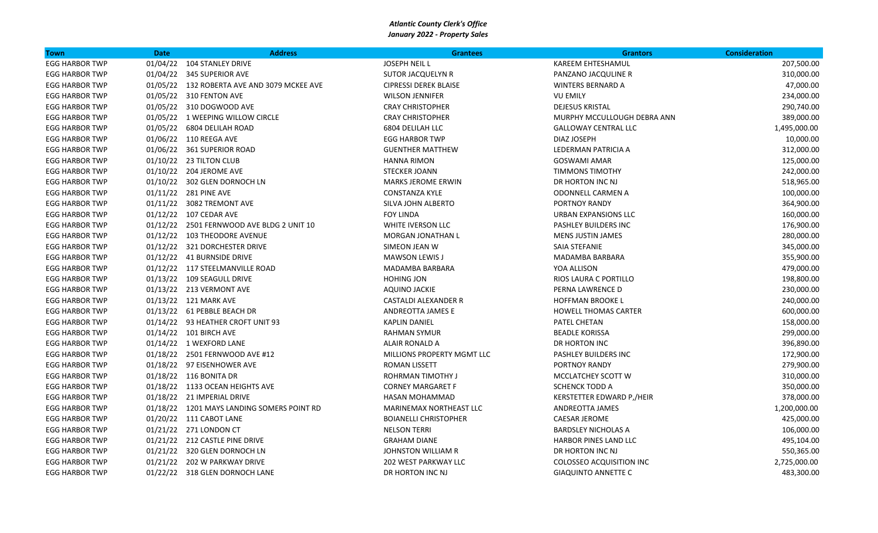| <b>Town</b>           | <b>Date</b> | <b>Address</b>                              | <b>Grantees</b>                | <b>Grantors</b>             | <b>Consideration</b> |
|-----------------------|-------------|---------------------------------------------|--------------------------------|-----------------------------|----------------------|
| <b>EGG HARBOR TWP</b> |             | 01/04/22 104 STANLEY DRIVE                  | <b>JOSEPH NEIL L</b>           | <b>KAREEM EHTESHAMUL</b>    | 207,500.00           |
| <b>EGG HARBOR TWP</b> |             | 01/04/22 345 SUPERIOR AVE                   | <b>SUTOR JACQUELYN R</b>       | PANZANO JACQULINE R         | 310,000.00           |
| <b>EGG HARBOR TWP</b> |             | 01/05/22 132 ROBERTA AVE AND 3079 MCKEE AVE | <b>CIPRESSI DEREK BLAISE</b>   | <b>WINTERS BERNARD A</b>    | 47,000.00            |
| <b>EGG HARBOR TWP</b> |             | 01/05/22 310 FENTON AVE                     | <b>WILSON JENNIFER</b>         | <b>VU EMILY</b>             | 234,000.00           |
| <b>EGG HARBOR TWP</b> |             | 01/05/22 310 DOGWOOD AVE                    | <b>CRAY CHRISTOPHER</b>        | <b>DEJESUS KRISTAL</b>      | 290,740.00           |
| <b>EGG HARBOR TWP</b> |             | 01/05/22 1 WEEPING WILLOW CIRCLE            | <b>CRAY CHRISTOPHER</b>        | MURPHY MCCULLOUGH DEBRA ANN | 389,000.00           |
| <b>EGG HARBOR TWP</b> |             | 01/05/22 6804 DELILAH ROAD                  | 6804 DELILAH LLC               | <b>GALLOWAY CENTRAL LLC</b> | 1,495,000.00         |
| <b>EGG HARBOR TWP</b> |             | 01/06/22 110 REEGA AVE                      | <b>EGG HARBOR TWP</b>          | DIAZ JOSEPH                 | 10,000.00            |
| <b>EGG HARBOR TWP</b> |             | 01/06/22 361 SUPERIOR ROAD                  | <b>GUENTHER MATTHEW</b>        | LEDERMAN PATRICIA A         | 312,000.00           |
| <b>EGG HARBOR TWP</b> |             | 01/10/22 23 TILTON CLUB                     | <b>HANNA RIMON</b>             | <b>GOSWAMI AMAR</b>         | 125,000.00           |
| <b>EGG HARBOR TWP</b> |             | 01/10/22 204 JEROME AVE                     | <b>STECKER JOANN</b>           | <b>TIMMONS TIMOTHY</b>      | 242,000.00           |
| <b>EGG HARBOR TWP</b> |             | 01/10/22 302 GLEN DORNOCH LN                | <b>MARKS JEROME ERWIN</b>      | DR HORTON INC NJ            | 518,965.00           |
| <b>EGG HARBOR TWP</b> |             | 01/11/22 281 PINE AVE                       | <b>CONSTANZA KYLE</b>          | ODONNELL CARMEN A           | 100,000.00           |
| <b>EGG HARBOR TWP</b> |             | 01/11/22 3082 TREMONT AVE                   | SILVA JOHN ALBERTO             | PORTNOY RANDY               | 364,900.00           |
| <b>EGG HARBOR TWP</b> |             | 01/12/22 107 CEDAR AVE                      | <b>FOY LINDA</b>               | URBAN EXPANSIONS LLC        | 160,000.00           |
| <b>EGG HARBOR TWP</b> |             | 01/12/22 2501 FERNWOOD AVE BLDG 2 UNIT 10   | WHITE IVERSON LLC              | PASHLEY BUILDERS INC        | 176,900.00           |
| <b>EGG HARBOR TWP</b> |             | 01/12/22 103 THEODORE AVENUE                | <b>MORGAN JONATHAN L</b>       | <b>MENS JUSTIN JAMES</b>    | 280,000.00           |
| <b>EGG HARBOR TWP</b> |             | 01/12/22 321 DORCHESTER DRIVE               | SIMEON JEAN W                  | SAIA STEFANIE               | 345,000.00           |
| <b>EGG HARBOR TWP</b> |             | 01/12/22 41 BURNSIDE DRIVE                  | <b>MAWSON LEWIS J</b>          | MADAMBA BARBARA             | 355,900.00           |
| <b>EGG HARBOR TWP</b> |             | 01/12/22 117 STEELMANVILLE ROAD             | MADAMBA BARBARA                | YOA ALLISON                 | 479,000.00           |
| <b>EGG HARBOR TWP</b> |             | 01/13/22 109 SEAGULL DRIVE                  | HOHING JON                     | RIOS LAURA C PORTILLO       | 198,800.00           |
| <b>EGG HARBOR TWP</b> |             | 01/13/22 213 VERMONT AVE                    | <b>AQUINO JACKIE</b>           | PERNA LAWRENCE D            | 230,000.00           |
| <b>EGG HARBOR TWP</b> |             | 01/13/22 121 MARK AVE                       | CASTALDI ALEXANDER R           | <b>HOFFMAN BROOKE L</b>     | 240,000.00           |
| <b>EGG HARBOR TWP</b> |             | 01/13/22 61 PEBBLE BEACH DR                 | ANDREOTTA JAMES E              | <b>HOWELL THOMAS CARTER</b> | 600,000.00           |
| <b>EGG HARBOR TWP</b> |             | 01/14/22 93 HEATHER CROFT UNIT 93           | <b>KAPLIN DANIEL</b>           | PATEL CHETAN                | 158,000.00           |
| <b>EGG HARBOR TWP</b> |             | 01/14/22 101 BIRCH AVE                      | <b>RAHMAN SYMUR</b>            | <b>BEADLE KORISSA</b>       | 299,000.00           |
| <b>EGG HARBOR TWP</b> |             | 01/14/22 1 WEXFORD LANE                     | ALAIR RONALD A                 | DR HORTON INC               | 396,890.00           |
| <b>EGG HARBOR TWP</b> |             | 01/18/22 2501 FERNWOOD AVE #12              | MILLIONS PROPERTY MGMT LLC     | PASHLEY BUILDERS INC        | 172,900.00           |
| <b>EGG HARBOR TWP</b> |             | 01/18/22 97 EISENHOWER AVE                  | <b>ROMAN LISSETT</b>           | PORTNOY RANDY               | 279,900.00           |
| <b>EGG HARBOR TWP</b> |             | 01/18/22 116 BONITA DR                      | <b>ROHRMAN TIMOTHY J</b>       | MCCLATCHEY SCOTT W          | 310,000.00           |
| <b>EGG HARBOR TWP</b> |             | 01/18/22 1133 OCEAN HEIGHTS AVE             | <b>CORNEY MARGARET F</b>       | <b>SCHENCK TODD A</b>       | 350,000.00           |
| <b>EGG HARBOR TWP</b> |             | 01/18/22 21 IMPERIAL DRIVE                  | <b>HASAN MOHAMMAD</b>          | KERSTETTER EDWARD P,/HEIR   | 378,000.00           |
| <b>EGG HARBOR TWP</b> |             | 01/18/22 1201 MAYS LANDING SOMERS POINT RD  | <b>MARINEMAX NORTHEAST LLC</b> | ANDREOTTA JAMES             | 1,200,000.00         |
| <b>EGG HARBOR TWP</b> |             | 01/20/22 111 CABOT LANE                     | <b>BOIANELLI CHRISTOPHER</b>   | <b>CAESAR JEROME</b>        | 425,000.00           |
| <b>EGG HARBOR TWP</b> |             | 01/21/22 271 LONDON CT                      | <b>NELSON TERRI</b>            | <b>BARDSLEY NICHOLAS A</b>  | 106,000.00           |
| <b>EGG HARBOR TWP</b> |             | 01/21/22 212 CASTLE PINE DRIVE              | <b>GRAHAM DIANE</b>            | HARBOR PINES LAND LLC       | 495,104.00           |
| <b>EGG HARBOR TWP</b> |             | 01/21/22 320 GLEN DORNOCH LN                | JOHNSTON WILLIAM R             | DR HORTON INC NJ            | 550,365.00           |
| <b>EGG HARBOR TWP</b> |             | 01/21/22 202 W PARKWAY DRIVE                | 202 WEST PARKWAY LLC           | COLOSSEO ACQUISITION INC    | 2,725,000.00         |
| <b>EGG HARBOR TWP</b> |             | 01/22/22 318 GLEN DORNOCH LANE              | DR HORTON INC NJ               | <b>GIAQUINTO ANNETTE C</b>  | 483,300.00           |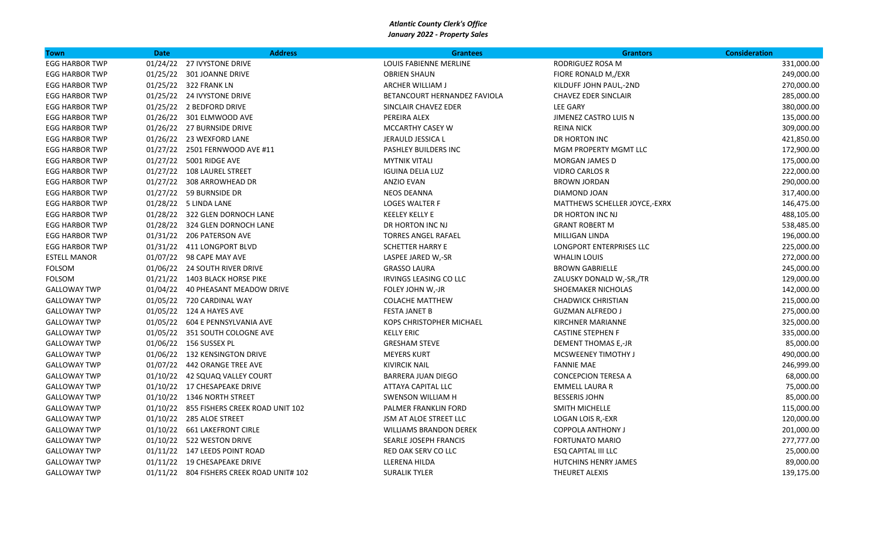| <b>Town</b>           | <b>Date</b> | <b>Address</b>                            | <b>Grantees</b>                 | <b>Grantors</b>               | <b>Consideration</b> |
|-----------------------|-------------|-------------------------------------------|---------------------------------|-------------------------------|----------------------|
| <b>EGG HARBOR TWP</b> |             | 01/24/22 27 IVYSTONE DRIVE                | LOUIS FABIENNE MERLINE          | RODRIGUEZ ROSA M              | 331,000.00           |
| <b>EGG HARBOR TWP</b> |             | 01/25/22 301 JOANNE DRIVE                 | <b>OBRIEN SHAUN</b>             | FIORE RONALD M,/EXR           | 249,000.00           |
| <b>EGG HARBOR TWP</b> |             | 01/25/22 322 FRANK LN                     | ARCHER WILLIAM J                | KILDUFF JOHN PAUL,-2ND        | 270,000.00           |
| <b>EGG HARBOR TWP</b> |             | 01/25/22 24 IVYSTONE DRIVE                | BETANCOURT HERNANDEZ FAVIOLA    | <b>CHAVEZ EDER SINCLAIR</b>   | 285,000.00           |
| <b>EGG HARBOR TWP</b> |             | 01/25/22 2 BEDFORD DRIVE                  | SINCLAIR CHAVEZ EDER            | <b>LEE GARY</b>               | 380,000.00           |
| <b>EGG HARBOR TWP</b> |             | 01/26/22 301 ELMWOOD AVE                  | PEREIRA ALEX                    | JIMENEZ CASTRO LUIS N         | 135,000.00           |
| <b>EGG HARBOR TWP</b> |             | 01/26/22 27 BURNSIDE DRIVE                | <b>MCCARTHY CASEY W</b>         | <b>REINA NICK</b>             | 309,000.00           |
| <b>EGG HARBOR TWP</b> |             | 01/26/22 23 WEXFORD LANE                  | JERAULD JESSICA L               | DR HORTON INC                 | 421,850.00           |
| <b>EGG HARBOR TWP</b> |             | 01/27/22 2501 FERNWOOD AVE #11            | PASHLEY BUILDERS INC            | MGM PROPERTY MGMT LLC         | 172,900.00           |
| <b>EGG HARBOR TWP</b> |             | 01/27/22 5001 RIDGE AVE                   | <b>MYTNIK VITALI</b>            | MORGAN JAMES D                | 175,000.00           |
| <b>EGG HARBOR TWP</b> |             | 01/27/22 108 LAUREL STREET                | <b>IGUINA DELIA LUZ</b>         | <b>VIDRO CARLOS R</b>         | 222,000.00           |
| <b>EGG HARBOR TWP</b> |             | 01/27/22 308 ARROWHEAD DR                 | <b>ANZIO EVAN</b>               | <b>BROWN JORDAN</b>           | 290,000.00           |
| <b>EGG HARBOR TWP</b> |             | 01/27/22 59 BURNSIDE DR                   | <b>NEOS DEANNA</b>              | DIAMOND JOAN                  | 317,400.00           |
| <b>EGG HARBOR TWP</b> |             | 01/28/22 5 LINDA LANE                     | <b>LOGES WALTER F</b>           | MATTHEWS SCHELLER JOYCE,-EXRX | 146,475.00           |
| <b>EGG HARBOR TWP</b> |             | 01/28/22 322 GLEN DORNOCH LANE            | <b>KEELEY KELLY E</b>           | DR HORTON INC NJ              | 488,105.00           |
| <b>EGG HARBOR TWP</b> |             | 01/28/22 324 GLEN DORNOCH LANE            | DR HORTON INC NJ                | <b>GRANT ROBERT M</b>         | 538,485.00           |
| <b>EGG HARBOR TWP</b> |             | 01/31/22 206 PATERSON AVE                 | <b>TORRES ANGEL RAFAEL</b>      | MILLIGAN LINDA                | 196,000.00           |
| <b>EGG HARBOR TWP</b> |             | 01/31/22 411 LONGPORT BLVD                | <b>SCHETTER HARRY E</b>         | LONGPORT ENTERPRISES LLC      | 225,000.00           |
| <b>ESTELL MANOR</b>   |             | 01/07/22 98 CAPE MAY AVE                  | LASPEE JARED W,-SR              | <b>WHALIN LOUIS</b>           | 272,000.00           |
| FOLSOM                |             | 01/06/22 24 SOUTH RIVER DRIVE             | <b>GRASSO LAURA</b>             | <b>BROWN GABRIELLE</b>        | 245,000.00           |
| <b>FOLSOM</b>         |             | 01/21/22 1403 BLACK HORSE PIKE            | IRVINGS LEASING CO LLC          | ZALUSKY DONALD W,-SR,/TR      | 129,000.00           |
| <b>GALLOWAY TWP</b>   |             | 01/04/22 40 PHEASANT MEADOW DRIVE         | FOLEY JOHN W,-JR                | SHOEMAKER NICHOLAS            | 142,000.00           |
| <b>GALLOWAY TWP</b>   |             | 01/05/22 720 CARDINAL WAY                 | <b>COLACHE MATTHEW</b>          | <b>CHADWICK CHRISTIAN</b>     | 215,000.00           |
| <b>GALLOWAY TWP</b>   |             | 01/05/22 124 A HAYES AVE                  | <b>FESTA JANET B</b>            | <b>GUZMAN ALFREDO J</b>       | 275,000.00           |
| <b>GALLOWAY TWP</b>   |             | 01/05/22 604 E PENNSYLVANIA AVE           | <b>KOPS CHRISTOPHER MICHAEL</b> | <b>KIRCHNER MARIANNE</b>      | 325,000.00           |
| <b>GALLOWAY TWP</b>   |             | 01/05/22 351 SOUTH COLOGNE AVE            | <b>KELLY ERIC</b>               | <b>CASTINE STEPHEN F</b>      | 335,000.00           |
| <b>GALLOWAY TWP</b>   |             | 01/06/22 156 SUSSEX PL                    | <b>GRESHAM STEVE</b>            | DEMENT THOMAS E,-JR           | 85,000.00            |
| <b>GALLOWAY TWP</b>   |             | 01/06/22 132 KENSINGTON DRIVE             | <b>MEYERS KURT</b>              | <b>MCSWEENEY TIMOTHY J</b>    | 490,000.00           |
| <b>GALLOWAY TWP</b>   |             | 01/07/22  442 ORANGE TREE AVE             | <b>KIVIRCIK NAIL</b>            | <b>FANNIE MAE</b>             | 246,999.00           |
| <b>GALLOWAY TWP</b>   |             | 01/10/22 42 SQUAQ VALLEY COURT            | <b>BARRERA JUAN DIEGO</b>       | <b>CONCEPCION TERESA A</b>    | 68,000.00            |
| <b>GALLOWAY TWP</b>   |             | 01/10/22 17 CHESAPEAKE DRIVE              | ATTAYA CAPITAL LLC              | <b>EMMELL LAURA R</b>         | 75,000.00            |
| <b>GALLOWAY TWP</b>   |             | 01/10/22 1346 NORTH STREET                | SWENSON WILLIAM H               | <b>BESSERIS JOHN</b>          | 85,000.00            |
| <b>GALLOWAY TWP</b>   |             | 01/10/22 855 FISHERS CREEK ROAD UNIT 102  | PALMER FRANKLIN FORD            | SMITH MICHELLE                | 115,000.00           |
| <b>GALLOWAY TWP</b>   |             | 01/10/22 285 ALOE STREET                  | JSM AT ALOE STREET LLC          | LOGAN LOIS R,-EXR             | 120,000.00           |
| <b>GALLOWAY TWP</b>   |             | 01/10/22 661 LAKEFRONT CIRLE              | <b>WILLIAMS BRANDON DEREK</b>   | <b>COPPOLA ANTHONY J</b>      | 201,000.00           |
| <b>GALLOWAY TWP</b>   |             | 01/10/22 522 WESTON DRIVE                 | SEARLE JOSEPH FRANCIS           | FORTUNATO MARIO               | 277,777.00           |
| <b>GALLOWAY TWP</b>   |             | 01/11/22 147 LEEDS POINT ROAD             | RED OAK SERV CO LLC             | <b>ESQ CAPITAL III LLC</b>    | 25,000.00            |
| <b>GALLOWAY TWP</b>   |             | 01/11/22 19 CHESAPEAKE DRIVE              | LLERENA HILDA                   | HUTCHINS HENRY JAMES          | 89,000.00            |
| <b>GALLOWAY TWP</b>   |             | 01/11/22 804 FISHERS CREEK ROAD UNIT# 102 | <b>SURALIK TYLER</b>            | THEURET ALEXIS                | 139,175.00           |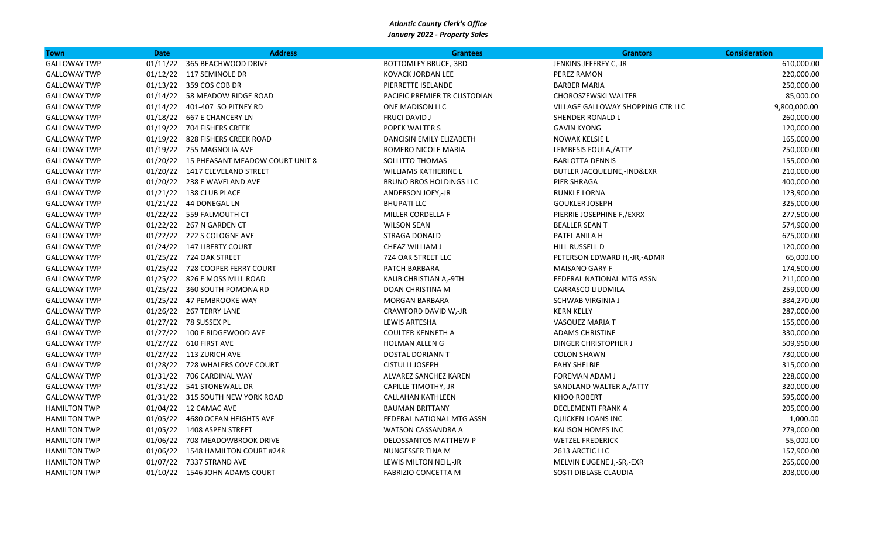| <b>Town</b>         | <b>Date</b> | <b>Address</b>                           | <b>Grantees</b>                | <b>Grantors</b>                   | <b>Consideration</b> |
|---------------------|-------------|------------------------------------------|--------------------------------|-----------------------------------|----------------------|
| <b>GALLOWAY TWP</b> |             | 01/11/22 365 BEACHWOOD DRIVE             | <b>BOTTOMLEY BRUCE,-3RD</b>    | JENKINS JEFFREY C,-JR             | 610,000.00           |
| <b>GALLOWAY TWP</b> |             | 01/12/22 117 SEMINOLE DR                 | KOVACK JORDAN LEE              | PEREZ RAMON                       | 220,000.00           |
| <b>GALLOWAY TWP</b> |             | 01/13/22 359 COS COB DR                  | PIERRETTE ISELANDE             | <b>BARBER MARIA</b>               | 250,000.00           |
| <b>GALLOWAY TWP</b> |             | 01/14/22 58 MEADOW RIDGE ROAD            | PACIFIC PREMIER TR CUSTODIAN   | CHOROSZEWSKI WALTER               | 85,000.00            |
| <b>GALLOWAY TWP</b> |             | 01/14/22  401-407 SO PITNEY RD           | ONE MADISON LLC                | VILLAGE GALLOWAY SHOPPING CTR LLC | 9,800,000.00         |
| <b>GALLOWAY TWP</b> |             | 01/18/22 667 E CHANCERY LN               | <b>FRUCI DAVID J</b>           | SHENDER RONALD L                  | 260,000.00           |
| <b>GALLOWAY TWP</b> |             | 01/19/22 704 FISHERS CREEK               | POPEK WALTER S                 | <b>GAVIN KYONG</b>                | 120,000.00           |
| <b>GALLOWAY TWP</b> |             | 01/19/22 828 FISHERS CREEK ROAD          | DANCISIN EMILY ELIZABETH       | NOWAK KELSIE L                    | 165,000.00           |
| <b>GALLOWAY TWP</b> |             | 01/19/22 255 MAGNOLIA AVE                | ROMERO NICOLE MARIA            | LEMBESIS FOULA, ATTY              | 250,000.00           |
| <b>GALLOWAY TWP</b> |             | 01/20/22 15 PHEASANT MEADOW COURT UNIT 8 | SOLLITTO THOMAS                | <b>BARLOTTA DENNIS</b>            | 155,000.00           |
| <b>GALLOWAY TWP</b> |             | 01/20/22 1417 CLEVELAND STREET           | <b>WILLIAMS KATHERINE L</b>    | BUTLER JACQUELINE,-IND&EXR        | 210,000.00           |
| <b>GALLOWAY TWP</b> |             | 01/20/22 238 E WAVELAND AVE              | <b>BRUNO BROS HOLDINGS LLC</b> | PIER SHRAGA                       | 400,000.00           |
| <b>GALLOWAY TWP</b> |             | 01/21/22 138 CLUB PLACE                  | ANDERSON JOEY,-JR              | RUNKLE LORNA                      | 123,900.00           |
| <b>GALLOWAY TWP</b> |             | 01/21/22 44 DONEGAL LN                   | <b>BHUPATI LLC</b>             | <b>GOUKLER JOSEPH</b>             | 325,000.00           |
| <b>GALLOWAY TWP</b> |             | 01/22/22 559 FALMOUTH CT                 | MILLER CORDELLA F              | PIERRIE JOSEPHINE F,/EXRX         | 277,500.00           |
| <b>GALLOWAY TWP</b> |             | 01/22/22 267 N GARDEN CT                 | <b>WILSON SEAN</b>             | <b>BEALLER SEAN T</b>             | 574,900.00           |
| <b>GALLOWAY TWP</b> |             | 01/22/22 222 S COLOGNE AVE               | <b>STRAGA DONALD</b>           | PATEL ANILA H                     | 675,000.00           |
| <b>GALLOWAY TWP</b> |             | 01/24/22 147 LIBERTY COURT               | CHEAZ WILLIAM J                | HILL RUSSELL D                    | 120,000.00           |
| <b>GALLOWAY TWP</b> |             | 01/25/22 724 OAK STREET                  | 724 OAK STREET LLC             | PETERSON EDWARD H,-JR,-ADMR       | 65,000.00            |
| <b>GALLOWAY TWP</b> |             | 01/25/22 728 COOPER FERRY COURT          | PATCH BARBARA                  | MAISANO GARY F                    | 174,500.00           |
| <b>GALLOWAY TWP</b> |             | 01/25/22 826 E MOSS MILL ROAD            | KAUB CHRISTIAN A,-9TH          | FEDERAL NATIONAL MTG ASSN         | 211,000.00           |
| <b>GALLOWAY TWP</b> |             | 01/25/22 360 SOUTH POMONA RD             | DOAN CHRISTINA M               | CARRASCO LIUDMILA                 | 259,000.00           |
| <b>GALLOWAY TWP</b> |             | 01/25/22 47 PEMBROOKE WAY                | <b>MORGAN BARBARA</b>          | <b>SCHWAB VIRGINIA J</b>          | 384,270.00           |
| <b>GALLOWAY TWP</b> |             | 01/26/22 267 TERRY LANE                  | CRAWFORD DAVID W,-JR           | <b>KERN KELLY</b>                 | 287,000.00           |
| <b>GALLOWAY TWP</b> |             | 01/27/22 78 SUSSEX PL                    | <b>LEWIS ARTESHA</b>           | VASQUEZ MARIA T                   | 155,000.00           |
| <b>GALLOWAY TWP</b> |             | 01/27/22 100 E RIDGEWOOD AVE             | <b>COULTER KENNETH A</b>       | <b>ADAMS CHRISTINE</b>            | 330,000.00           |
| <b>GALLOWAY TWP</b> |             | 01/27/22 610 FIRST AVE                   | <b>HOLMAN ALLENG</b>           | DINGER CHRISTOPHER J              | 509,950.00           |
| <b>GALLOWAY TWP</b> |             | 01/27/22 113 ZURICH AVE                  | <b>DOSTAL DORIANN T</b>        | <b>COLON SHAWN</b>                | 730,000.00           |
| <b>GALLOWAY TWP</b> |             | 01/28/22 728 WHALERS COVE COURT          | <b>CISTULLI JOSEPH</b>         | <b>FAHY SHELBIE</b>               | 315,000.00           |
| <b>GALLOWAY TWP</b> |             | 01/31/22 706 CARDINAL WAY                | ALVAREZ SANCHEZ KAREN          | FOREMAN ADAM J                    | 228,000.00           |
| <b>GALLOWAY TWP</b> |             | 01/31/22 541 STONEWALL DR                | CAPILLE TIMOTHY,-JR            | SANDLAND WALTER A,/ATTY           | 320,000.00           |
| <b>GALLOWAY TWP</b> |             | 01/31/22 315 SOUTH NEW YORK ROAD         | <b>CALLAHAN KATHLEEN</b>       | <b>KHOO ROBERT</b>                | 595,000.00           |
| <b>HAMILTON TWP</b> |             | 01/04/22 12 CAMAC AVE                    | <b>BAUMAN BRITTANY</b>         | DECLEMENTI FRANK A                | 205,000.00           |
| <b>HAMILTON TWP</b> |             | 01/05/22 4680 OCEAN HEIGHTS AVE          | FEDERAL NATIONAL MTG ASSN      | <b>QUICKEN LOANS INC</b>          | 1,000.00             |
| <b>HAMILTON TWP</b> |             | 01/05/22 1408 ASPEN STREET               | <b>WATSON CASSANDRA A</b>      | KALISON HOMES INC                 | 279,000.00           |
| <b>HAMILTON TWP</b> |             | 01/06/22 708 MEADOWBROOK DRIVE           | DELOSSANTOS MATTHEW P          | <b>WETZEL FREDERICK</b>           | 55,000.00            |
| <b>HAMILTON TWP</b> |             | 01/06/22 1548 HAMILTON COURT #248        | NUNGESSER TINA M               | 2613 ARCTIC LLC                   | 157,900.00           |
| <b>HAMILTON TWP</b> |             | 01/07/22 7337 STRAND AVE                 | LEWIS MILTON NEIL,-JR          | MELVIN EUGENE J,-SR,-EXR          | 265,000.00           |
| <b>HAMILTON TWP</b> |             | 01/10/22 1546 JOHN ADAMS COURT           | <b>FABRIZIO CONCETTA M</b>     | SOSTI DIBLASE CLAUDIA             | 208,000.00           |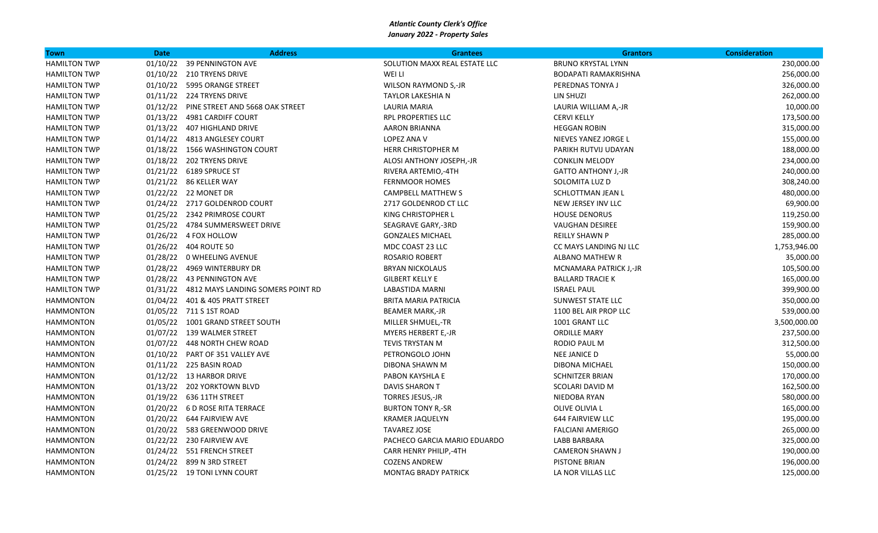| <b>Town</b>         | <b>Date</b> | <b>Address</b>                             | <b>Grantees</b>               | <b>Grantors</b>             | <b>Consideration</b> |
|---------------------|-------------|--------------------------------------------|-------------------------------|-----------------------------|----------------------|
| <b>HAMILTON TWP</b> |             | 01/10/22 39 PENNINGTON AVE                 | SOLUTION MAXX REAL ESTATE LLC | <b>BRUNO KRYSTAL LYNN</b>   | 230,000.00           |
| <b>HAMILTON TWP</b> |             | 01/10/22 210 TRYENS DRIVE                  | WEI LI                        | <b>BODAPATI RAMAKRISHNA</b> | 256,000.00           |
| <b>HAMILTON TWP</b> |             | 01/10/22 5995 ORANGE STREET                | WILSON RAYMOND S,-JR          | PEREDNAS TONYA J            | 326,000.00           |
| <b>HAMILTON TWP</b> |             | 01/11/22 224 TRYENS DRIVE                  | <b>TAYLOR LAKESHIA N</b>      | LIN SHUZI                   | 262,000.00           |
| <b>HAMILTON TWP</b> |             | 01/12/22 PINE STREET AND 5668 OAK STREET   | LAURIA MARIA                  | LAURIA WILLIAM A,-JR        | 10,000.00            |
| <b>HAMILTON TWP</b> |             | 01/13/22 4981 CARDIFF COURT                | RPL PROPERTIES LLC            | <b>CERVI KELLY</b>          | 173,500.00           |
| <b>HAMILTON TWP</b> |             | 01/13/22 407 HIGHLAND DRIVE                | AARON BRIANNA                 | <b>HEGGAN ROBIN</b>         | 315,000.00           |
| <b>HAMILTON TWP</b> |             | 01/14/22 4813 ANGLESEY COURT               | LOPEZ ANA V                   | NIEVES YANEZ JORGE L        | 155,000.00           |
| <b>HAMILTON TWP</b> |             | 01/18/22 1566 WASHINGTON COURT             | <b>HERR CHRISTOPHER M</b>     | PARIKH RUTVIJ UDAYAN        | 188,000.00           |
| <b>HAMILTON TWP</b> |             | 01/18/22 202 TRYENS DRIVE                  | ALOSI ANTHONY JOSEPH,-JR      | <b>CONKLIN MELODY</b>       | 234,000.00           |
| <b>HAMILTON TWP</b> |             | 01/21/22 6189 SPRUCE ST                    | RIVERA ARTEMIO,-4TH           | <b>GATTO ANTHONY J,-JR</b>  | 240,000.00           |
| <b>HAMILTON TWP</b> |             | 01/21/22 86 KELLER WAY                     | <b>FERNMOOR HOMES</b>         | SOLOMITA LUZ D              | 308,240.00           |
| <b>HAMILTON TWP</b> |             | 01/22/22 22 MONET DR                       | <b>CAMPBELL MATTHEW S</b>     | SCHLOTTMAN JEAN L           | 480,000.00           |
| <b>HAMILTON TWP</b> |             | 01/24/22 2717 GOLDENROD COURT              | 2717 GOLDENROD CT LLC         | NEW JERSEY INV LLC          | 69,900.00            |
| <b>HAMILTON TWP</b> |             | 01/25/22 2342 PRIMROSE COURT               | KING CHRISTOPHER L            | <b>HOUSE DENORUS</b>        | 119,250.00           |
| <b>HAMILTON TWP</b> |             | 01/25/22 4784 SUMMERSWEET DRIVE            | SEAGRAVE GARY,-3RD            | <b>VAUGHAN DESIREE</b>      | 159,900.00           |
| <b>HAMILTON TWP</b> |             | 01/26/22 4 FOX HOLLOW                      | <b>GONZALES MICHAEL</b>       | <b>REILLY SHAWN P</b>       | 285,000.00           |
| <b>HAMILTON TWP</b> |             | 01/26/22 404 ROUTE 50                      | MDC COAST 23 LLC              | CC MAYS LANDING NJ LLC      | 1,753,946.00         |
| <b>HAMILTON TWP</b> |             | 01/28/22 0 WHEELING AVENUE                 | <b>ROSARIO ROBERT</b>         | <b>ALBANO MATHEW R</b>      | 35,000.00            |
| <b>HAMILTON TWP</b> |             | 01/28/22 4969 WINTERBURY DR                | <b>BRYAN NICKOLAUS</b>        | MCNAMARA PATRICK J,-JR      | 105,500.00           |
| <b>HAMILTON TWP</b> |             | 01/28/22 43 PENNINGTON AVE                 | <b>GILBERT KELLY E</b>        | <b>BALLARD TRACIE K</b>     | 165,000.00           |
| <b>HAMILTON TWP</b> |             | 01/31/22 4812 MAYS LANDING SOMERS POINT RD | LABASTIDA MARNI               | <b>ISRAEL PAUL</b>          | 399,900.00           |
| <b>HAMMONTON</b>    |             | 01/04/22 401 & 405 PRATT STREET            | <b>BRITA MARIA PATRICIA</b>   | <b>SUNWEST STATE LLC</b>    | 350,000.00           |
| <b>HAMMONTON</b>    |             | 01/05/22 711 S 1ST ROAD                    | <b>BEAMER MARK,-JR</b>        | 1100 BEL AIR PROP LLC       | 539,000.00           |
| <b>HAMMONTON</b>    |             | 01/05/22 1001 GRAND STREET SOUTH           | MILLER SHMUEL,-TR             | 1001 GRANT LLC              | 3,500,000.00         |
| <b>HAMMONTON</b>    |             | 01/07/22 139 WALMER STREET                 | <b>MYERS HERBERT E,-JR</b>    | <b>ORDILLE MARY</b>         | 237,500.00           |
| <b>HAMMONTON</b>    |             | 01/07/22 448 NORTH CHEW ROAD               | TEVIS TRYSTAN M               | RODIO PAUL M                | 312,500.00           |
| <b>HAMMONTON</b>    |             | 01/10/22 PART OF 351 VALLEY AVE            | PETRONGOLO JOHN               | <b>NEE JANICE D</b>         | 55,000.00            |
| <b>HAMMONTON</b>    |             | 01/11/22 225 BASIN ROAD                    | DIBONA SHAWN M                | DIBONA MICHAEL              | 150,000.00           |
| <b>HAMMONTON</b>    |             | 01/12/22 13 HARBOR DRIVE                   | PABON KAYSHLA E               | <b>SCHNITZER BRIAN</b>      | 170,000.00           |
| <b>HAMMONTON</b>    |             | 01/13/22 202 YORKTOWN BLVD                 | <b>DAVIS SHARON T</b>         | SCOLARI DAVID M             | 162,500.00           |
| <b>HAMMONTON</b>    |             | 01/19/22 636 11TH STREET                   | <b>TORRES JESUS,-JR</b>       | NIEDOBA RYAN                | 580,000.00           |
| <b>HAMMONTON</b>    |             | 01/20/22 6 D ROSE RITA TERRACE             | <b>BURTON TONY R,-SR</b>      | OLIVE OLIVIA L              | 165,000.00           |
| <b>HAMMONTON</b>    |             | 01/20/22   644   FAIRVIEW AVE              | <b>KRAMER JAQUELYN</b>        | 644 FAIRVIEW LLC            | 195,000.00           |
| <b>HAMMONTON</b>    |             | 01/20/22 583 GREENWOOD DRIVE               | <b>TAVAREZ JOSE</b>           | <b>FALCIANI AMERIGO</b>     | 265,000.00           |
| <b>HAMMONTON</b>    |             | 01/22/22 230 FAIRVIEW AVE                  | PACHECO GARCIA MARIO EDUARDO  | LABB BARBARA                | 325,000.00           |
| <b>HAMMONTON</b>    |             | 01/24/22 551 FRENCH STREET                 | CARR HENRY PHILIP,-4TH        | <b>CAMERON SHAWN J</b>      | 190,000.00           |
| <b>HAMMONTON</b>    |             | 01/24/22 899 N 3RD STREET                  | <b>COZENS ANDREW</b>          | <b>PISTONE BRIAN</b>        | 196,000.00           |
| <b>HAMMONTON</b>    |             | 01/25/22 19 TONI LYNN COURT                | <b>MONTAG BRADY PATRICK</b>   | LA NOR VILLAS LLC           | 125,000.00           |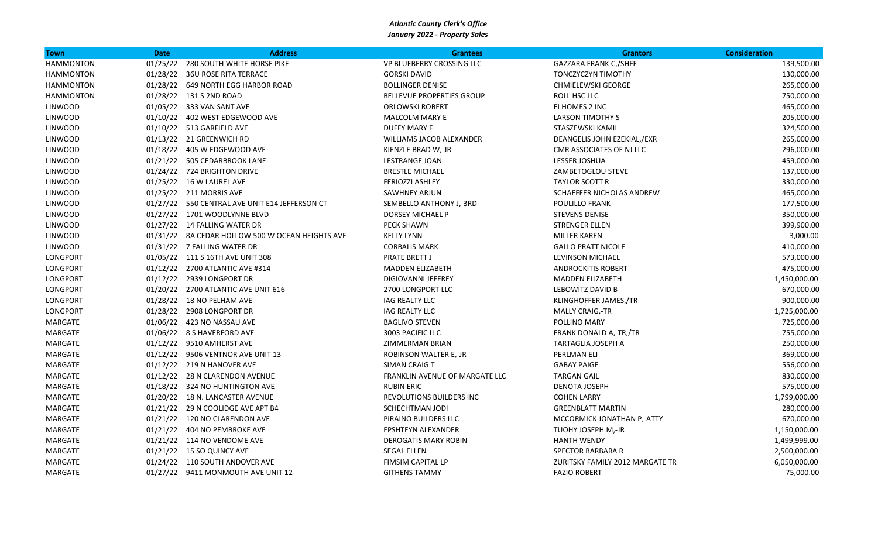| Town             | <b>Date</b> | <b>Address</b>                                   | <b>Grantees</b>                  | <b>Grantors</b>                 | <b>Consideration</b> |
|------------------|-------------|--------------------------------------------------|----------------------------------|---------------------------------|----------------------|
| <b>HAMMONTON</b> | 01/25/22    | <b>280 SOUTH WHITE HORSE PIKE</b>                | VP BLUEBERRY CROSSING LLC        | GAZZARA FRANK C,/SHFF           | 139,500.00           |
| <b>HAMMONTON</b> |             | 01/28/22 36U ROSE RITA TERRACE                   | <b>GORSKI DAVID</b>              | TONCZYCZYN TIMOTHY              | 130,000.00           |
| <b>HAMMONTON</b> |             | 01/28/22 649 NORTH EGG HARBOR ROAD               | <b>BOLLINGER DENISE</b>          | <b>CHMIELEWSKI GEORGE</b>       | 265,000.00           |
| <b>HAMMONTON</b> |             | 01/28/22 131 S 2ND ROAD                          | <b>BELLEVUE PROPERTIES GROUP</b> | ROLL HSC LLC                    | 750,000.00           |
| <b>LINWOOD</b>   |             | 01/05/22 333 VAN SANT AVE                        | <b>ORLOWSKI ROBERT</b>           | EI HOMES 2 INC                  | 465,000.00           |
| <b>LINWOOD</b>   |             | 01/10/22 402 WEST EDGEWOOD AVE                   | MALCOLM MARY E                   | <b>LARSON TIMOTHY S</b>         | 205,000.00           |
| <b>LINWOOD</b>   |             | 01/10/22 513 GARFIELD AVE                        | <b>DUFFY MARY F</b>              | STASZEWSKI KAMIL                | 324,500.00           |
| <b>LINWOOD</b>   |             | 01/13/22 21 GREENWICH RD                         | WILLIAMS JACOB ALEXANDER         | DEANGELIS JOHN EZEKIAL,/EXR     | 265,000.00           |
| <b>LINWOOD</b>   |             | 01/18/22 405 W EDGEWOOD AVE                      | KIENZLE BRAD W,-JR               | CMR ASSOCIATES OF NJ LLC        | 296,000.00           |
| <b>LINWOOD</b>   |             | 01/21/22 505 CEDARBROOK LANE                     | LESTRANGE JOAN                   | LESSER JOSHUA                   | 459,000.00           |
| <b>LINWOOD</b>   |             | 01/24/22 724 BRIGHTON DRIVE                      | <b>BRESTLE MICHAEL</b>           | ZAMBETOGLOU STEVE               | 137,000.00           |
| <b>LINWOOD</b>   |             | 01/25/22 16 W LAUREL AVE                         | <b>FERIOZZI ASHLEY</b>           | <b>TAYLOR SCOTT R</b>           | 330,000.00           |
| <b>LINWOOD</b>   |             | 01/25/22 211 MORRIS AVE                          | <b>SAWHNEY ARJUN</b>             | SCHAEFFER NICHOLAS ANDREW       | 465,000.00           |
| <b>LINWOOD</b>   |             | 01/27/22 550 CENTRAL AVE UNIT E14 JEFFERSON CT   | SEMBELLO ANTHONY J,-3RD          | POULILLO FRANK                  | 177,500.00           |
| <b>LINWOOD</b>   |             | 01/27/22 1701 WOODLYNNE BLVD                     | DORSEY MICHAEL P                 | <b>STEVENS DENISE</b>           | 350,000.00           |
| LINWOOD          |             | 01/27/22 14 FALLING WATER DR                     | <b>PECK SHAWN</b>                | <b>STRENGER ELLEN</b>           | 399,900.00           |
| LINWOOD          |             | 01/31/22 8A CEDAR HOLLOW 500 W OCEAN HEIGHTS AVE | <b>KELLY LYNN</b>                | <b>MILLER KAREN</b>             | 3,000.00             |
| LINWOOD          |             | 01/31/22 7 FALLING WATER DR                      | <b>CORBALIS MARK</b>             | <b>GALLO PRATT NICOLE</b>       | 410,000.00           |
| <b>LONGPORT</b>  |             | 01/05/22 111 S 16TH AVE UNIT 308                 | <b>PRATE BRETT J</b>             | <b>LEVINSON MICHAEL</b>         | 573,000.00           |
| LONGPORT         |             | 01/12/22 2700 ATLANTIC AVE #314                  | <b>MADDEN ELIZABETH</b>          | <b>ANDROCKITIS ROBERT</b>       | 475,000.00           |
| LONGPORT         |             | 01/12/22 2939 LONGPORT DR                        | DIGIOVANNI JEFFREY               | <b>MADDEN ELIZABETH</b>         | 1,450,000.00         |
| LONGPORT         |             | 01/20/22 2700 ATLANTIC AVE UNIT 616              | 2700 LONGPORT LLC                | LEBOWITZ DAVID B                | 670,000.00           |
| LONGPORT         |             | 01/28/22 18 NO PELHAM AVE                        | <b>IAG REALTY LLC</b>            | KLINGHOFFER JAMES,/TR           | 900,000.00           |
| LONGPORT         |             | 01/28/22 2908 LONGPORT DR                        | <b>IAG REALTY LLC</b>            | <b>MALLY CRAIG,-TR</b>          | 1,725,000.00         |
| MARGATE          |             | 01/06/22 423 NO NASSAU AVE                       | <b>BAGLIVO STEVEN</b>            | POLLINO MARY                    | 725,000.00           |
| MARGATE          |             | 01/06/22 8 S HAVERFORD AVE                       | 3003 PACIFIC LLC                 | FRANK DONALD A,-TR,/TR          | 755,000.00           |
| MARGATE          |             | 01/12/22 9510 AMHERST AVE                        | ZIMMERMAN BRIAN                  | TARTAGLIA JOSEPH A              | 250,000.00           |
| MARGATE          |             | 01/12/22 9506 VENTNOR AVE UNIT 13                | ROBINSON WALTER E,-JR            | PERLMAN ELI                     | 369,000.00           |
| MARGATE          |             | 01/12/22 219 N HANOVER AVE                       | SIMAN CRAIG T                    | <b>GABAY PAIGE</b>              | 556,000.00           |
| MARGATE          |             | 01/12/22 28 N CLARENDON AVENUE                   | FRANKLIN AVENUE OF MARGATE LLC   | <b>TARGAN GAIL</b>              | 830,000.00           |
| MARGATE          |             | 01/18/22 324 NO HUNTINGTON AVE                   | <b>RUBIN ERIC</b>                | DENOTA JOSEPH                   | 575,000.00           |
| MARGATE          |             | 01/20/22 18 N. LANCASTER AVENUE                  | REVOLUTIONS BUILDERS INC         | <b>COHEN LARRY</b>              | 1,799,000.00         |
| MARGATE          |             | 01/21/22 29 N COOLIDGE AVE APT B4                | <b>SCHECHTMAN JODI</b>           | <b>GREENBLATT MARTIN</b>        | 280,000.00           |
| MARGATE          |             | 01/21/22 120 NO CLARENDON AVE                    | PIRAINO BUILDERS LLC             | MCCORMICK JONATHAN P,-ATTY      | 670,000.00           |
| MARGATE          |             | 01/21/22 404 NO PEMBROKE AVE                     | <b>EPSHTEYN ALEXANDER</b>        | TUOHY JOSEPH M,-JR              | 1,150,000.00         |
| MARGATE          |             | 01/21/22 114 NO VENDOME AVE                      | <b>DEROGATIS MARY ROBIN</b>      | <b>HANTH WENDY</b>              | 1,499,999.00         |
| MARGATE          |             | 01/21/22 15 SO QUINCY AVE                        | <b>SEGAL ELLEN</b>               | SPECTOR BARBARA R               | 2,500,000.00         |
| MARGATE          |             | 01/24/22 110 SOUTH ANDOVER AVE                   | FIMSIM CAPITAL LP                | ZURITSKY FAMILY 2012 MARGATE TR | 6,050,000.00         |
| MARGATE          |             | 01/27/22 9411 MONMOUTH AVE UNIT 12               | <b>GITHENS TAMMY</b>             | <b>FAZIO ROBERT</b>             | 75,000.00            |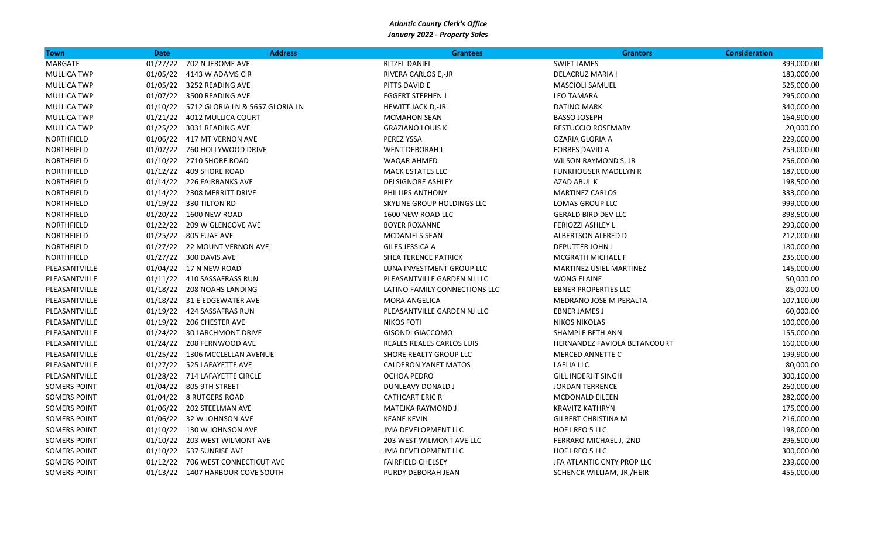| Town                | <b>Date</b> | <b>Address</b>                           | <b>Grantees</b>               | <b>Grantors</b>                | <b>Consideration</b> |
|---------------------|-------------|------------------------------------------|-------------------------------|--------------------------------|----------------------|
| MARGATE             |             | 01/27/22 702 N JEROME AVE                | RITZEL DANIEL                 | <b>SWIFT JAMES</b>             | 399,000.00           |
| <b>MULLICA TWP</b>  |             | 01/05/22 4143 W ADAMS CIR                | RIVERA CARLOS E,-JR           | <b>DELACRUZ MARIA I</b>        | 183,000.00           |
| <b>MULLICA TWP</b>  |             | 01/05/22 3252 READING AVE                | PITTS DAVID E                 | <b>MASCIOLI SAMUEL</b>         | 525,000.00           |
| <b>MULLICA TWP</b>  |             | 01/07/22 3500 READING AVE                | <b>EGGERT STEPHEN J</b>       | <b>LEO TAMARA</b>              | 295,000.00           |
| <b>MULLICA TWP</b>  |             | 01/10/22 5712 GLORIA LN & 5657 GLORIA LN | HEWITT JACK D,-JR             | <b>DATINO MARK</b>             | 340,000.00           |
| <b>MULLICA TWP</b>  |             | 01/21/22 4012 MULLICA COURT              | <b>MCMAHON SEAN</b>           | <b>BASSO JOSEPH</b>            | 164,900.00           |
| <b>MULLICA TWP</b>  |             | 01/25/22 3031 READING AVE                | <b>GRAZIANO LOUIS K</b>       | <b>RESTUCCIO ROSEMARY</b>      | 20,000.00            |
| NORTHFIELD          |             | 01/06/22 417 MT VERNON AVE               | PEREZ YSSA                    | OZARIA GLORIA A                | 229,000.00           |
| NORTHFIELD          |             | 01/07/22 760 HOLLYWOOD DRIVE             | <b>WENT DEBORAH L</b>         | <b>FORBES DAVID A</b>          | 259,000.00           |
| NORTHFIELD          |             | 01/10/22 2710 SHORE ROAD                 | WAQAR AHMED                   | <b>WILSON RAYMOND S,-JR</b>    | 256,000.00           |
| NORTHFIELD          |             | 01/12/22 409 SHORE ROAD                  | <b>MACK ESTATES LLC</b>       | <b>FUNKHOUSER MADELYN R</b>    | 187,000.00           |
| NORTHFIELD          |             | 01/14/22 226 FAIRBANKS AVE               | <b>DELSIGNORE ASHLEY</b>      | AZAD ABUL K                    | 198,500.00           |
| NORTHFIELD          |             | 01/14/22 2308 MERRITT DRIVE              | PHILLIPS ANTHONY              | MARTINEZ CARLOS                | 333,000.00           |
| NORTHFIELD          |             | 01/19/22 330 TILTON RD                   | SKYLINE GROUP HOLDINGS LLC    | LOMAS GROUP LLC                | 999,000.00           |
| <b>NORTHFIELD</b>   |             | 01/20/22 1600 NEW ROAD                   | 1600 NEW ROAD LLC             | <b>GERALD BIRD DEV LLC</b>     | 898,500.00           |
| NORTHFIELD          |             | 01/22/22 209 W GLENCOVE AVE              | <b>BOYER ROXANNE</b>          | FERIOZZI ASHLEY L              | 293,000.00           |
| NORTHFIELD          |             | 01/25/22 805 FUAE AVE                    | MCDANIELS SEAN                | <b>ALBERTSON ALFRED D</b>      | 212,000.00           |
| NORTHFIELD          |             | 01/27/22 22 MOUNT VERNON AVE             | GILES JESSICA A               | <b>DEPUTTER JOHN J</b>         | 180,000.00           |
| NORTHFIELD          |             | 01/27/22 300 DAVIS AVE                   | <b>SHEA TERENCE PATRICK</b>   | MCGRATH MICHAEL F              | 235,000.00           |
| PLEASANTVILLE       |             | 01/04/22 17 N NEW ROAD                   | LUNA INVESTMENT GROUP LLC     | <b>MARTINEZ USIEL MARTINEZ</b> | 145,000.00           |
| PLEASANTVILLE       |             | 01/11/22 410 SASSAFRASS RUN              | PLEASANTVILLE GARDEN NJ LLC   | <b>WONG ELAINE</b>             | 50,000.00            |
| PLEASANTVILLE       |             | 01/18/22 208 NOAHS LANDING               | LATINO FAMILY CONNECTIONS LLC | <b>EBNER PROPERTIES LLC</b>    | 85,000.00            |
| PLEASANTVILLE       |             | 01/18/22 31 E EDGEWATER AVE              | <b>MORA ANGELICA</b>          | MEDRANO JOSE M PERALTA         | 107,100.00           |
| PLEASANTVILLE       |             | 01/19/22 424 SASSAFRAS RUN               | PLEASANTVILLE GARDEN NJ LLC   | <b>EBNER JAMES J</b>           | 60,000.00            |
| PLEASANTVILLE       |             | 01/19/22 206 CHESTER AVE                 | <b>NIKOS FOTI</b>             | <b>NIKOS NIKOLAS</b>           | 100,000.00           |
| PLEASANTVILLE       |             | 01/24/22 30 LARCHMONT DRIVE              | <b>GISONDI GIACCOMO</b>       | SHAMPLE BETH ANN               | 155,000.00           |
| PLEASANTVILLE       |             | 01/24/22 208 FERNWOOD AVE                | REALES REALES CARLOS LUIS     | HERNANDEZ FAVIOLA BETANCOURT   | 160,000.00           |
| PLEASANTVILLE       |             | 01/25/22 1306 MCCLELLAN AVENUE           | SHORE REALTY GROUP LLC        | <b>MERCED ANNETTE C</b>        | 199,900.00           |
| PLEASANTVILLE       |             | 01/27/22 525 LAFAYETTE AVE               | <b>CALDERON YANET MATOS</b>   | LAELIA LLC                     | 80,000.00            |
| PLEASANTVILLE       |             | 01/28/22 714 LAFAYETTE CIRCLE            | OCHOA PEDRO                   | <b>GILL INDERJIT SINGH</b>     | 300,100.00           |
| <b>SOMERS POINT</b> |             | 01/04/22 805 9TH STREET                  | DUNLEAVY DONALD J             | <b>JORDAN TERRENCE</b>         | 260,000.00           |
| <b>SOMERS POINT</b> |             | 01/04/22 8 RUTGERS ROAD                  | <b>CATHCART ERIC R</b>        | <b>MCDONALD EILEEN</b>         | 282,000.00           |
| <b>SOMERS POINT</b> |             | 01/06/22 202 STEELMAN AVE                | MATEJKA RAYMOND J             | <b>KRAVITZ KATHRYN</b>         | 175,000.00           |
| <b>SOMERS POINT</b> |             | 01/06/22 32 W JOHNSON AVE                | <b>KEANE KEVIN</b>            | <b>GILBERT CHRISTINA M</b>     | 216,000.00           |
| <b>SOMERS POINT</b> |             | 01/10/22 130 W JOHNSON AVE               | <b>JMA DEVELOPMENT LLC</b>    | HOF I REO 5 LLC                | 198,000.00           |
| <b>SOMERS POINT</b> |             | 01/10/22 203 WEST WILMONT AVE            | 203 WEST WILMONT AVE LLC      | FERRARO MICHAEL J,-2ND         | 296,500.00           |
| <b>SOMERS POINT</b> |             | 01/10/22 537 SUNRISE AVE                 | <b>JMA DEVELOPMENT LLC</b>    | HOF I REO 5 LLC                | 300,000.00           |
| <b>SOMERS POINT</b> |             | 01/12/22 706 WEST CONNECTICUT AVE        | <b>FAIRFIELD CHELSEY</b>      | JFA ATLANTIC CNTY PROP LLC     | 239,000.00           |
| <b>SOMERS POINT</b> |             | 01/13/22 1407 HARBOUR COVE SOUTH         | PURDY DEBORAH JEAN            | SCHENCK WILLIAM,-JR,/HEIR      | 455,000.00           |